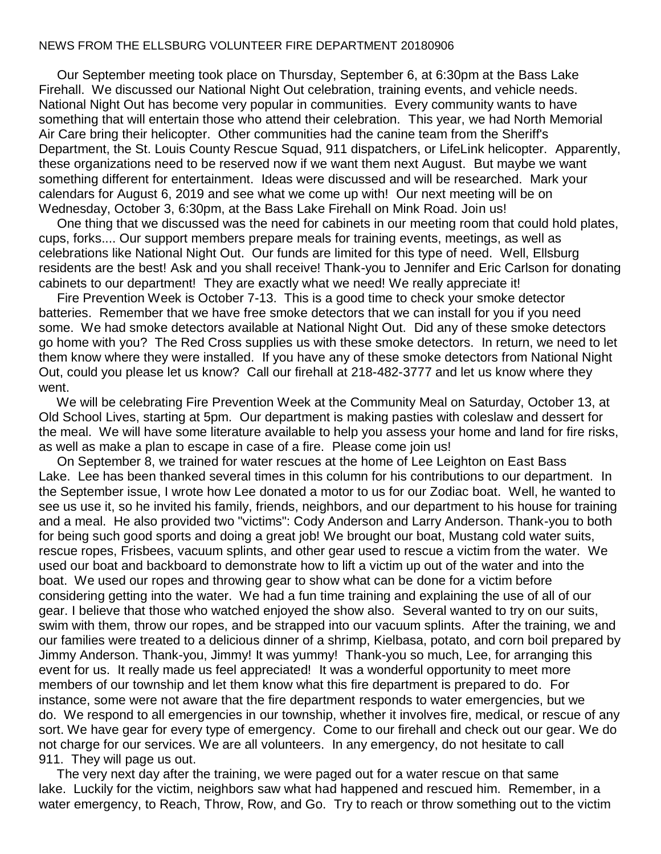## NEWS FROM THE ELLSBURG VOLUNTEER FIRE DEPARTMENT 20180906

 Our September meeting took place on Thursday, September 6, at 6:30pm at the Bass Lake Firehall. We discussed our National Night Out celebration, training events, and vehicle needs. National Night Out has become very popular in communities. Every community wants to have something that will entertain those who attend their celebration. This year, we had North Memorial Air Care bring their helicopter. Other communities had the canine team from the Sheriff's Department, the St. Louis County Rescue Squad, 911 dispatchers, or LifeLink helicopter. Apparently, these organizations need to be reserved now if we want them next August. But maybe we want something different for entertainment. Ideas were discussed and will be researched. Mark your calendars for August 6, 2019 and see what we come up with! Our next meeting will be on Wednesday, October 3, 6:30pm, at the Bass Lake Firehall on Mink Road. Join us!

 One thing that we discussed was the need for cabinets in our meeting room that could hold plates, cups, forks.... Our support members prepare meals for training events, meetings, as well as celebrations like National Night Out. Our funds are limited for this type of need. Well, Ellsburg residents are the best! Ask and you shall receive! Thank-you to Jennifer and Eric Carlson for donating cabinets to our department! They are exactly what we need! We really appreciate it!

 Fire Prevention Week is October 7-13. This is a good time to check your smoke detector batteries. Remember that we have free smoke detectors that we can install for you if you need some. We had smoke detectors available at National Night Out. Did any of these smoke detectors go home with you? The Red Cross supplies us with these smoke detectors. In return, we need to let them know where they were installed. If you have any of these smoke detectors from National Night Out, could you please let us know? Call our firehall at 218-482-3777 and let us know where they went.

 We will be celebrating Fire Prevention Week at the Community Meal on Saturday, October 13, at Old School Lives, starting at 5pm. Our department is making pasties with coleslaw and dessert for the meal. We will have some literature available to help you assess your home and land for fire risks, as well as make a plan to escape in case of a fire. Please come join us!

 On September 8, we trained for water rescues at the home of Lee Leighton on East Bass Lake. Lee has been thanked several times in this column for his contributions to our department. In the September issue, I wrote how Lee donated a motor to us for our Zodiac boat. Well, he wanted to see us use it, so he invited his family, friends, neighbors, and our department to his house for training and a meal. He also provided two "victims": Cody Anderson and Larry Anderson. Thank-you to both for being such good sports and doing a great job! We brought our boat, Mustang cold water suits, rescue ropes, Frisbees, vacuum splints, and other gear used to rescue a victim from the water. We used our boat and backboard to demonstrate how to lift a victim up out of the water and into the boat. We used our ropes and throwing gear to show what can be done for a victim before considering getting into the water. We had a fun time training and explaining the use of all of our gear. I believe that those who watched enjoyed the show also. Several wanted to try on our suits, swim with them, throw our ropes, and be strapped into our vacuum splints. After the training, we and our families were treated to a delicious dinner of a shrimp, Kielbasa, potato, and corn boil prepared by Jimmy Anderson. Thank-you, Jimmy! It was yummy! Thank-you so much, Lee, for arranging this event for us. It really made us feel appreciated! It was a wonderful opportunity to meet more members of our township and let them know what this fire department is prepared to do. For instance, some were not aware that the fire department responds to water emergencies, but we do. We respond to all emergencies in our township, whether it involves fire, medical, or rescue of any sort. We have gear for every type of emergency. Come to our firehall and check out our gear. We do not charge for our services. We are all volunteers. In any emergency, do not hesitate to call 911. They will page us out.

 The very next day after the training, we were paged out for a water rescue on that same lake. Luckily for the victim, neighbors saw what had happened and rescued him. Remember, in a water emergency, to Reach, Throw, Row, and Go. Try to reach or throw something out to the victim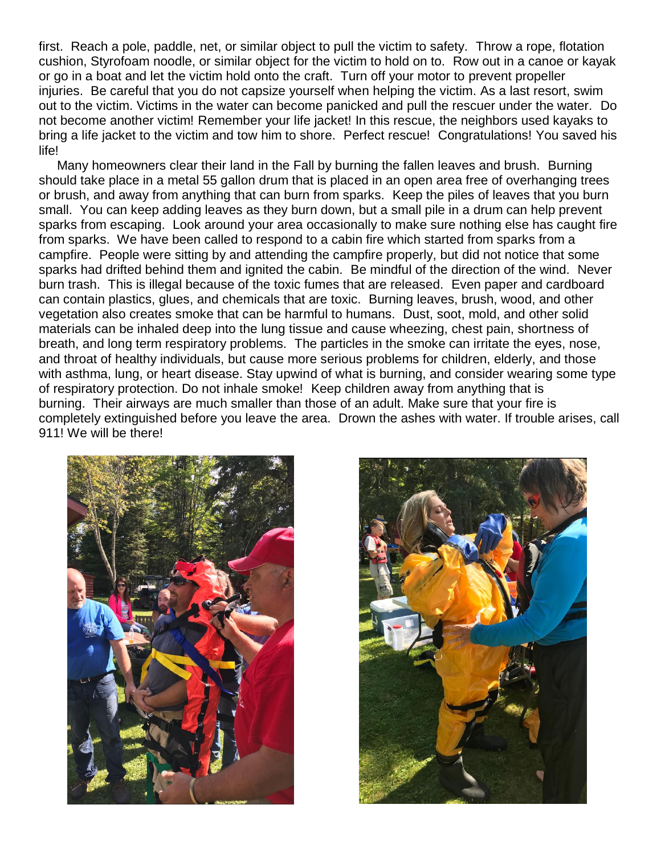first. Reach a pole, paddle, net, or similar object to pull the victim to safety. Throw a rope, flotation cushion, Styrofoam noodle, or similar object for the victim to hold on to. Row out in a canoe or kayak or go in a boat and let the victim hold onto the craft. Turn off your motor to prevent propeller injuries. Be careful that you do not capsize yourself when helping the victim. As a last resort, swim out to the victim. Victims in the water can become panicked and pull the rescuer under the water. Do not become another victim! Remember your life jacket! In this rescue, the neighbors used kayaks to bring a life jacket to the victim and tow him to shore. Perfect rescue! Congratulations! You saved his life!

 Many homeowners clear their land in the Fall by burning the fallen leaves and brush. Burning should take place in a metal 55 gallon drum that is placed in an open area free of overhanging trees or brush, and away from anything that can burn from sparks. Keep the piles of leaves that you burn small. You can keep adding leaves as they burn down, but a small pile in a drum can help prevent sparks from escaping. Look around your area occasionally to make sure nothing else has caught fire from sparks. We have been called to respond to a cabin fire which started from sparks from a campfire. People were sitting by and attending the campfire properly, but did not notice that some sparks had drifted behind them and ignited the cabin. Be mindful of the direction of the wind. Never burn trash. This is illegal because of the toxic fumes that are released. Even paper and cardboard can contain plastics, glues, and chemicals that are toxic. Burning leaves, brush, wood, and other vegetation also creates smoke that can be harmful to humans. Dust, soot, mold, and other solid materials can be inhaled deep into the lung tissue and cause wheezing, chest pain, shortness of breath, and long term respiratory problems. The particles in the smoke can irritate the eyes, nose, and throat of healthy individuals, but cause more serious problems for children, elderly, and those with asthma, lung, or heart disease. Stay upwind of what is burning, and consider wearing some type of respiratory protection. Do not inhale smoke! Keep children away from anything that is burning. Their airways are much smaller than those of an adult. Make sure that your fire is completely extinguished before you leave the area. Drown the ashes with water. If trouble arises, call 911! We will be there!